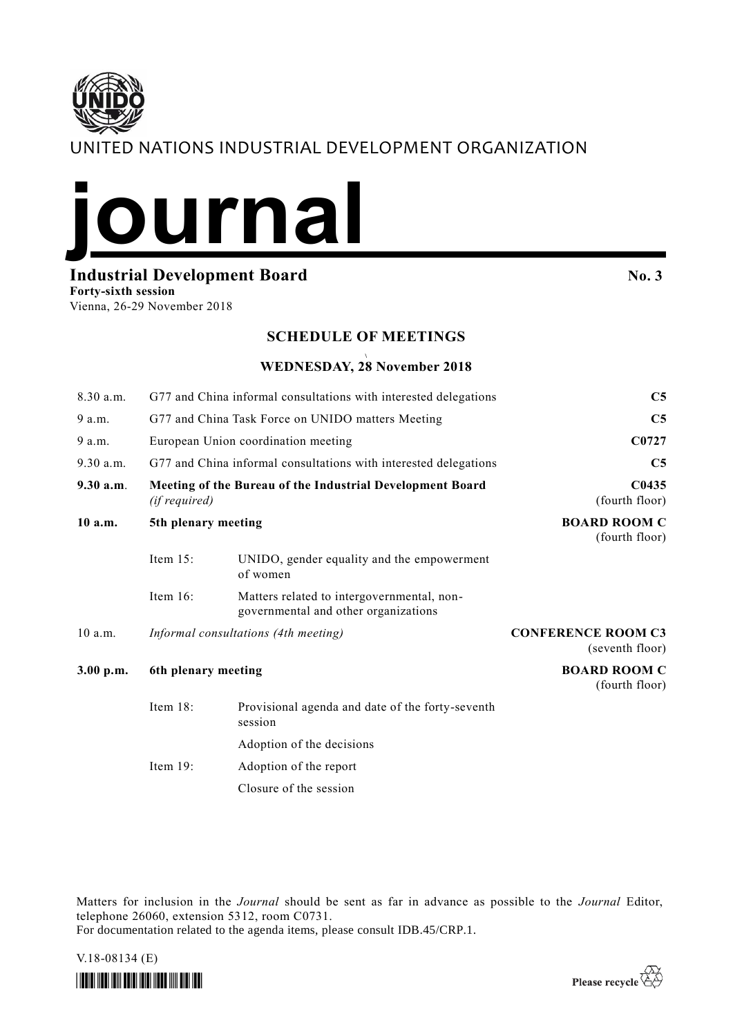# UNITED NATIONS INDUSTRIAL DEVELOPMENT ORGANIZATION



**Industrial Development Board No. 3 Forty-sixth session**

Vienna, 26-29 November 2018

# **SCHEDULE OF MEETINGS**

# **\ WEDNESDAY, 28 November 2018**

| 8.30 a.m. | G77 and China informal consultations with interested delegations           | C <sub>5</sub>                                                                     |                                              |
|-----------|----------------------------------------------------------------------------|------------------------------------------------------------------------------------|----------------------------------------------|
| 9 a.m.    | G77 and China Task Force on UNIDO matters Meeting                          |                                                                                    | C <sub>5</sub>                               |
| 9 a.m.    | European Union coordination meeting                                        |                                                                                    | C0727                                        |
| 9.30 a.m. | G77 and China informal consultations with interested delegations           |                                                                                    | C <sub>5</sub>                               |
| 9.30 a.m. | Meeting of the Bureau of the Industrial Development Board<br>(if required) |                                                                                    | C0435<br>(fourth floor)                      |
| 10 a.m.   | 5th plenary meeting                                                        |                                                                                    | <b>BOARD ROOM C</b><br>(fourth floor)        |
|           | Item $15$ :                                                                | UNIDO, gender equality and the empowerment<br>of women                             |                                              |
|           | Item $16$ :                                                                | Matters related to intergovernmental, non-<br>governmental and other organizations |                                              |
| $10$ a.m. | Informal consultations (4th meeting)                                       |                                                                                    | <b>CONFERENCE ROOM C3</b><br>(seventh floor) |
| 3.00 p.m. | 6th plenary meeting                                                        |                                                                                    | <b>BOARD ROOM C</b><br>(fourth floor)        |
|           | Item 18:                                                                   | Provisional agenda and date of the forty-seventh<br>session                        |                                              |
|           |                                                                            | Adoption of the decisions                                                          |                                              |
|           | Item 19:                                                                   | Adoption of the report                                                             |                                              |
|           |                                                                            | Closure of the session                                                             |                                              |

Matters for inclusion in the *Journal* should be sent as far in advance as possible to the *Journal* Editor, telephone 26060, extension 5312, room C0731.

For documentation related to the agenda items, please consult IDB.45/CRP.1.

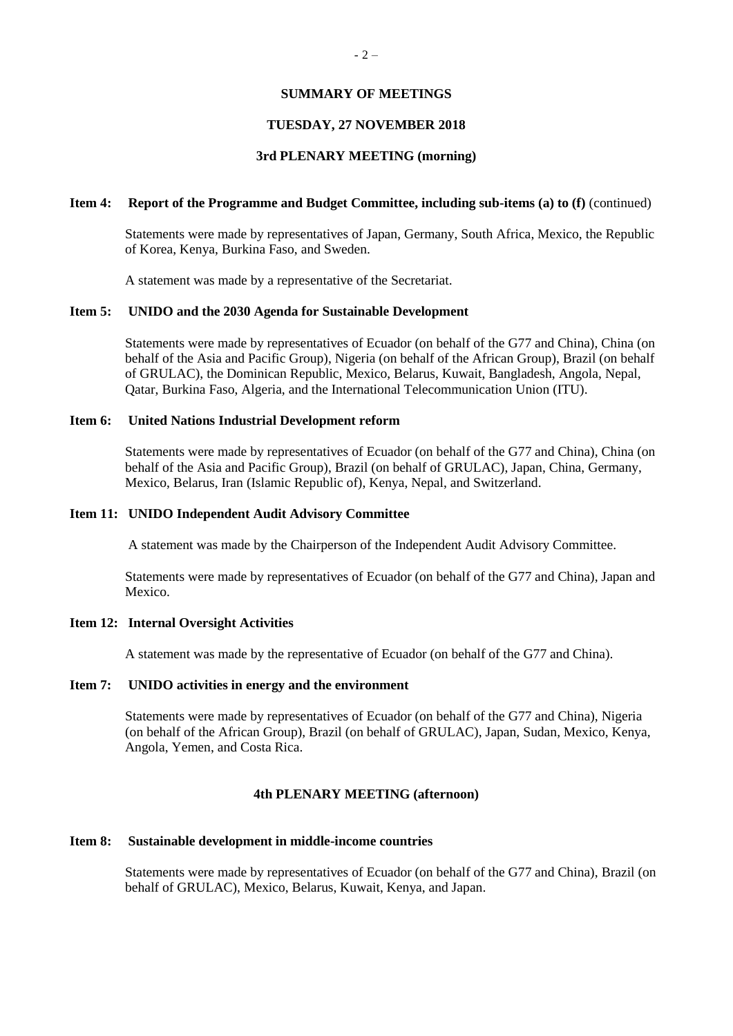#### **SUMMARY OF MEETINGS**

#### **TUESDAY, 27 NOVEMBER 2018**

# **3rd PLENARY MEETING (morning)**

#### **Item 4: Report of the Programme and Budget Committee, including sub-items (a) to (f)** (continued)

Statements were made by representatives of Japan, Germany, South Africa, Mexico, the Republic of Korea, Kenya, Burkina Faso, and Sweden.

A statement was made by a representative of the Secretariat.

#### **Item 5: UNIDO and the 2030 Agenda for Sustainable Development**

Statements were made by representatives of Ecuador (on behalf of the G77 and China), China (on behalf of the Asia and Pacific Group), Nigeria (on behalf of the African Group), Brazil (on behalf of GRULAC), the Dominican Republic, Mexico, Belarus, Kuwait, Bangladesh, Angola, Nepal, Qatar, Burkina Faso, Algeria, and the International Telecommunication Union (ITU).

#### **Item 6: United Nations Industrial Development reform**

Statements were made by representatives of Ecuador (on behalf of the G77 and China), China (on behalf of the Asia and Pacific Group), Brazil (on behalf of GRULAC), Japan, China, Germany, Mexico, Belarus, Iran (Islamic Republic of), Kenya, Nepal, and Switzerland.

#### **Item 11: UNIDO Independent Audit Advisory Committee**

A statement was made by the Chairperson of the Independent Audit Advisory Committee.

Statements were made by representatives of Ecuador (on behalf of the G77 and China), Japan and Mexico.

#### **Item 12: Internal Oversight Activities**

A statement was made by the representative of Ecuador (on behalf of the G77 and China).

# **Item 7: UNIDO activities in energy and the environment**

Statements were made by representatives of Ecuador (on behalf of the G77 and China), Nigeria (on behalf of the African Group), Brazil (on behalf of GRULAC), Japan, Sudan, Mexico, Kenya, Angola, Yemen, and Costa Rica.

#### **4th PLENARY MEETING (afternoon)**

#### **Item 8: Sustainable development in middle-income countries**

Statements were made by representatives of Ecuador (on behalf of the G77 and China), Brazil (on behalf of GRULAC), Mexico, Belarus, Kuwait, Kenya, and Japan.